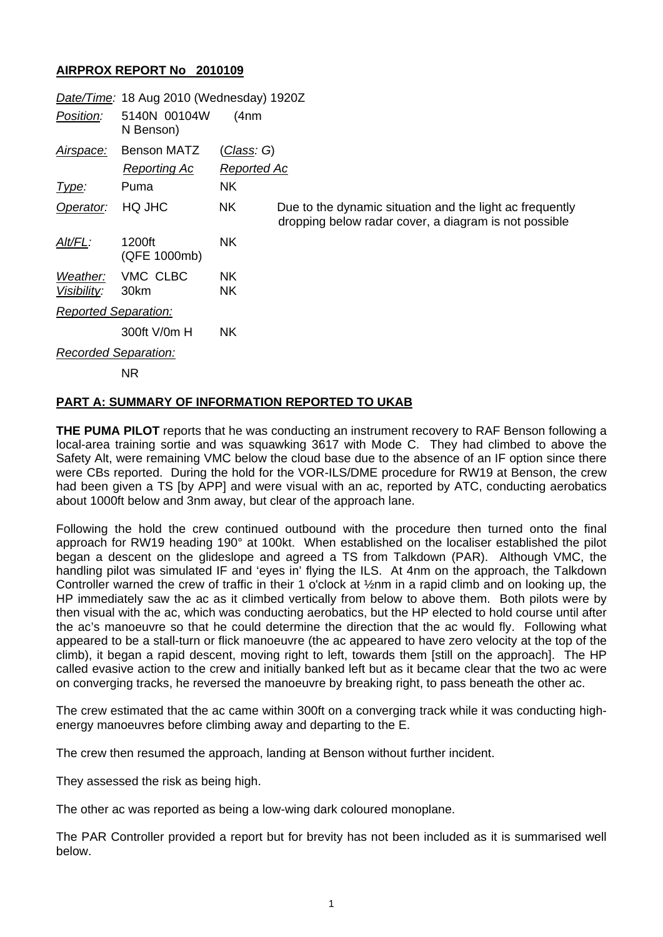## **AIRPROX REPORT No 2010109**

|                             | Date/Time: 18 Aug 2010 (Wednesday) 1920Z  |                                   |                                                                                                                   |
|-----------------------------|-------------------------------------------|-----------------------------------|-------------------------------------------------------------------------------------------------------------------|
| Position:                   | 5140N 00104W<br>N Benson)                 | (4 <sub>nm</sub> )                |                                                                                                                   |
| Airspace:                   | <b>Benson MATZ</b><br><b>Reporting Ac</b> | <u>(Class</u> : G)<br>Reported Ac |                                                                                                                   |
| Type:                       | Puma                                      | <b>NK</b>                         |                                                                                                                   |
| Operator:                   | HQ JHC                                    | <b>NK</b>                         | Due to the dynamic situation and the light ac frequently<br>dropping below radar cover, a diagram is not possible |
| Alt/FL:                     | 1200ft<br>(QFE 1000mb)                    | NK.                               |                                                                                                                   |
| Weather:<br>Visibility:     | VMC CLBC<br>30km                          | NK.<br>NΚ                         |                                                                                                                   |
| <b>Reported Separation:</b> |                                           |                                   |                                                                                                                   |
|                             | 300ft V/0m H                              | NK.                               |                                                                                                                   |
| <b>Recorded Separation:</b> |                                           |                                   |                                                                                                                   |
|                             |                                           |                                   |                                                                                                                   |

NR

## **PART A: SUMMARY OF INFORMATION REPORTED TO UKAB**

**THE PUMA PILOT** reports that he was conducting an instrument recovery to RAF Benson following a local-area training sortie and was squawking 3617 with Mode C. They had climbed to above the Safety Alt, were remaining VMC below the cloud base due to the absence of an IF option since there were CBs reported. During the hold for the VOR-ILS/DME procedure for RW19 at Benson, the crew had been given a TS [by APP] and were visual with an ac, reported by ATC, conducting aerobatics about 1000ft below and 3nm away, but clear of the approach lane.

Following the hold the crew continued outbound with the procedure then turned onto the final approach for RW19 heading 190° at 100kt. When established on the localiser established the pilot began a descent on the glideslope and agreed a TS from Talkdown (PAR). Although VMC, the handling pilot was simulated IF and 'eyes in' flying the ILS. At 4nm on the approach, the Talkdown Controller warned the crew of traffic in their 1 o'clock at ½nm in a rapid climb and on looking up, the HP immediately saw the ac as it climbed vertically from below to above them. Both pilots were by then visual with the ac, which was conducting aerobatics, but the HP elected to hold course until after the ac's manoeuvre so that he could determine the direction that the ac would fly. Following what appeared to be a stall-turn or flick manoeuvre (the ac appeared to have zero velocity at the top of the climb), it began a rapid descent, moving right to left, towards them [still on the approach]. The HP called evasive action to the crew and initially banked left but as it became clear that the two ac were on converging tracks, he reversed the manoeuvre by breaking right, to pass beneath the other ac.

The crew estimated that the ac came within 300ft on a converging track while it was conducting highenergy manoeuvres before climbing away and departing to the E.

The crew then resumed the approach, landing at Benson without further incident.

They assessed the risk as being high.

The other ac was reported as being a low-wing dark coloured monoplane.

The PAR Controller provided a report but for brevity has not been included as it is summarised well below.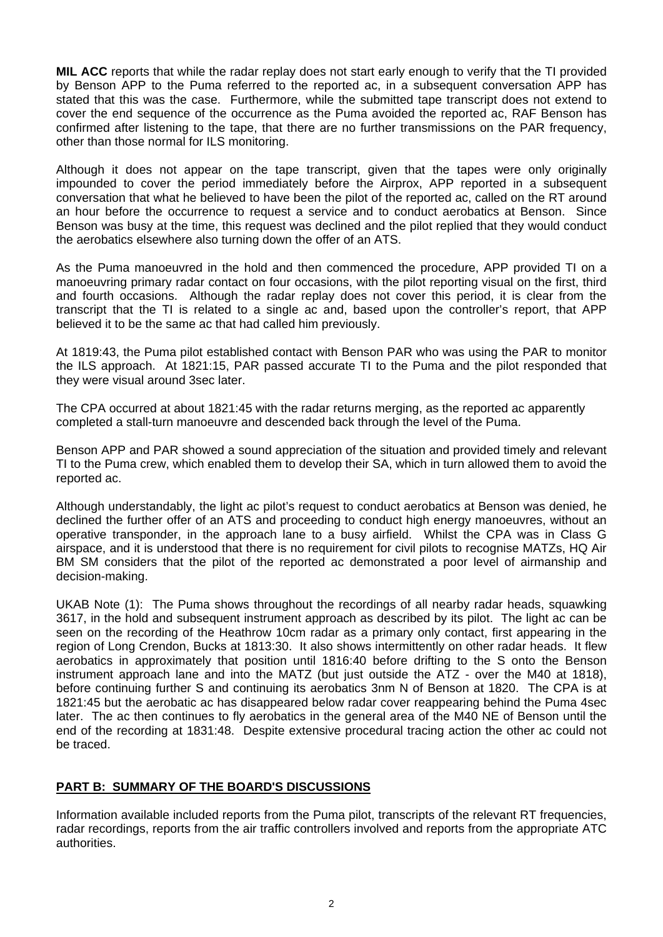**MIL ACC** reports that while the radar replay does not start early enough to verify that the TI provided by Benson APP to the Puma referred to the reported ac, in a subsequent conversation APP has stated that this was the case. Furthermore, while the submitted tape transcript does not extend to cover the end sequence of the occurrence as the Puma avoided the reported ac, RAF Benson has confirmed after listening to the tape, that there are no further transmissions on the PAR frequency, other than those normal for ILS monitoring.

Although it does not appear on the tape transcript, given that the tapes were only originally impounded to cover the period immediately before the Airprox, APP reported in a subsequent conversation that what he believed to have been the pilot of the reported ac, called on the RT around an hour before the occurrence to request a service and to conduct aerobatics at Benson. Since Benson was busy at the time, this request was declined and the pilot replied that they would conduct the aerobatics elsewhere also turning down the offer of an ATS.

As the Puma manoeuvred in the hold and then commenced the procedure, APP provided TI on a manoeuvring primary radar contact on four occasions, with the pilot reporting visual on the first, third and fourth occasions. Although the radar replay does not cover this period, it is clear from the transcript that the TI is related to a single ac and, based upon the controller's report, that APP believed it to be the same ac that had called him previously.

At 1819:43, the Puma pilot established contact with Benson PAR who was using the PAR to monitor the ILS approach. At 1821:15, PAR passed accurate TI to the Puma and the pilot responded that they were visual around 3sec later.

The CPA occurred at about 1821:45 with the radar returns merging, as the reported ac apparently completed a stall-turn manoeuvre and descended back through the level of the Puma.

Benson APP and PAR showed a sound appreciation of the situation and provided timely and relevant TI to the Puma crew, which enabled them to develop their SA, which in turn allowed them to avoid the reported ac.

Although understandably, the light ac pilot's request to conduct aerobatics at Benson was denied, he declined the further offer of an ATS and proceeding to conduct high energy manoeuvres, without an operative transponder, in the approach lane to a busy airfield. Whilst the CPA was in Class G airspace, and it is understood that there is no requirement for civil pilots to recognise MATZs, HQ Air BM SM considers that the pilot of the reported ac demonstrated a poor level of airmanship and decision-making.

UKAB Note (1): The Puma shows throughout the recordings of all nearby radar heads, squawking 3617, in the hold and subsequent instrument approach as described by its pilot. The light ac can be seen on the recording of the Heathrow 10cm radar as a primary only contact, first appearing in the region of Long Crendon, Bucks at 1813:30. It also shows intermittently on other radar heads. It flew aerobatics in approximately that position until 1816:40 before drifting to the S onto the Benson instrument approach lane and into the MATZ (but just outside the ATZ - over the M40 at 1818), before continuing further S and continuing its aerobatics 3nm N of Benson at 1820. The CPA is at 1821:45 but the aerobatic ac has disappeared below radar cover reappearing behind the Puma 4sec later. The ac then continues to fly aerobatics in the general area of the M40 NE of Benson until the end of the recording at 1831:48. Despite extensive procedural tracing action the other ac could not be traced.

## **PART B: SUMMARY OF THE BOARD'S DISCUSSIONS**

Information available included reports from the Puma pilot, transcripts of the relevant RT frequencies, radar recordings, reports from the air traffic controllers involved and reports from the appropriate ATC authorities.